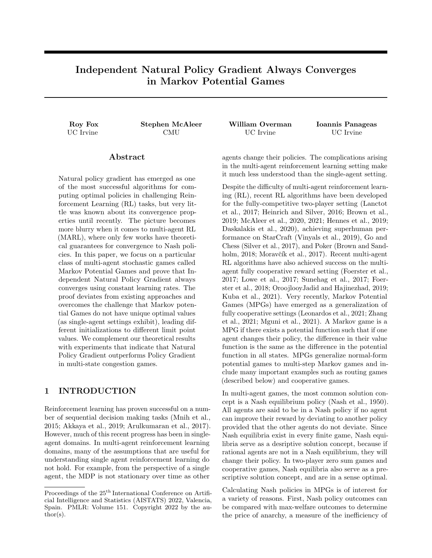# Independent Natural Policy Gradient Always Converges in Markov Potential Games

#### Abstract

Natural policy gradient has emerged as one of the most successful algorithms for computing optimal policies in challenging Reinforcement Learning (RL) tasks, but very little was known about its convergence properties until recently. The picture becomes more blurry when it comes to multi-agent RL (MARL), where only few works have theoretical guarantees for convergence to Nash policies. In this paper, we focus on a particular class of multi-agent stochastic games called Markov Potential Games and prove that Independent Natural Policy Gradient always converges using constant learning rates. The proof deviates from existing approaches and overcomes the challenge that Markov potential Games do not have unique optimal values (as single-agent settings exhibit), leading different initializations to different limit point values. We complement our theoretical results with experiments that indicate that Natural Policy Gradient outperforms Policy Gradient in multi-state congestion games.

# 1 INTRODUCTION

Reinforcement learning has proven successful on a number of sequential decision making tasks (Mnih et al., 2015; Akkaya et al., 2019; Arulkumaran et al., 2017). However, much of this recent progress has been in singleagent domains. In multi-agent reinforcement learning domains, many of the assumptions that are useful for understanding single agent reinforcement learning do not hold. For example, from the perspective of a single agent, the MDP is not stationary over time as other

UC Irvine CMU UC Irvine UC Irvine

Roy Fox Stephen McAleer William Overman Ioannis Panageas

agents change their policies. The complications arising in the multi-agent reinforcement learning setting make it much less understood than the single-agent setting.

Despite the difficulty of multi-agent reinforcement learning (RL), recent RL algorithms have been developed for the fully-competitive two-player setting (Lanctot et al., 2017; Heinrich and Silver, 2016; Brown et al., 2019; McAleer et al., 2020, 2021; Hennes et al., 2019; Daskalakis et al., 2020), achieving superhuman performance on StarCraft (Vinyals et al., 2019), Go and Chess (Silver et al., 2017), and Poker (Brown and Sandholm, 2018; Moravčík et al., 2017). Recent multi-agent RL algorithms have also achieved success on the multiagent fully cooperative reward setting (Foerster et al., 2017; Lowe et al., 2017; Sunehag et al., 2017; Foerster et al., 2018; OroojlooyJadid and Hajinezhad, 2019; Kuba et al., 2021). Very recently, Markov Potential Games (MPGs) have emerged as a generalization of fully cooperative settings (Leonardos et al., 2021; Zhang et al., 2021; Mguni et al., 2021). A Markov game is a MPG if there exists a potential function such that if one agent changes their policy, the difference in their value function is the same as the difference in the potential function in all states. MPGs generalize normal-form potential games to multi-step Markov games and include many important examples such as routing games (described below) and cooperative games.

In multi-agent games, the most common solution concept is a Nash equilibrium policy (Nash et al., 1950). All agents are said to be in a Nash policy if no agent can improve their reward by deviating to another policy provided that the other agents do not deviate. Since Nash equilibria exist in every finite game, Nash equilibria serve as a desriptive solution concept, because if rational agents are not in a Nash equilibrium, they will change their policy. In two-player zero sum games and cooperative games, Nash equilibria also serve as a prescriptive solution concept, and are in a sense optimal.

Calculating Nash policies in MPGs is of interest for a variety of reasons. First, Nash policy outcomes can be compared with max-welfare outcomes to determine the price of anarchy, a measure of the inefficiency of

Proceedings of the  $25^{\text{th}}$  International Conference on Artificial Intelligence and Statistics (AISTATS) 2022, Valencia, Spain. PMLR: Volume 151. Copyright 2022 by the au- $\text{thor}(s)$ .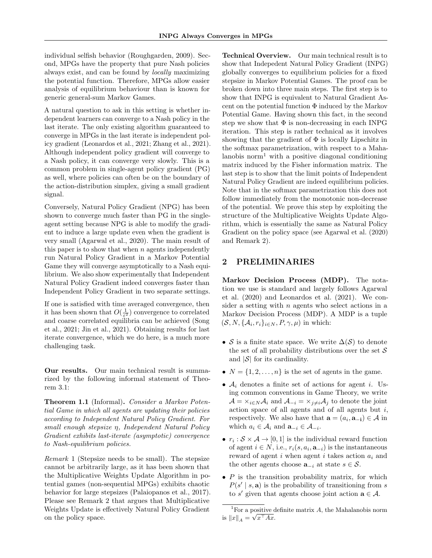individual selfish behavior (Roughgarden, 2009). Second, MPGs have the property that pure Nash policies always exist, and can be found by locally maximizing the potential function. Therefore, MPGs allow easier analysis of equilibrium behaviour than is known for generic general-sum Markov Games.

A natural question to ask in this setting is whether independent learners can converge to a Nash policy in the last iterate. The only existing algorithm guaranteed to converge in MPGs in the last iterate is independent policy gradient (Leonardos et al., 2021; Zhang et al., 2021). Although independent policy gradient will converge to a Nash policy, it can converge very slowly. This is a common problem in single-agent policy gradient (PG) as well, where policies can often be on the boundary of the action-distribution simplex, giving a small gradient signal.

Conversely, Natural Policy Gradient (NPG) has been shown to converge much faster than PG in the singleagent setting because NPG is able to modify the gradient to induce a large update even when the gradient is very small (Agarwal et al., 2020). The main result of this paper is to show that when  $n$  agents independently run Natural Policy Gradient in a Markov Potential Game they will converge asymptotically to a Nash equilibrium. We also show experimentally that Independent Natural Policy Gradient indeed converges faster than Independent Policy Gradient in two separate settings.

If one is satisfied with time averaged convergence, then it has been shown that  $O(\frac{1}{\varepsilon^2})$  convergence to correlated and coarse correlated equilibria can be achieved (Song et al., 2021; Jin et al., 2021). Obtaining results for last iterate convergence, which we do here, is a much more challenging task.

Our results. Our main technical result is summarized by the following informal statement of Theorem 3.1:

Theorem 1.1 (Informal). Consider a Markov Potential Game in which all agents are updating their policies according to Independent Natural Policy Gradient. For small enough stepsize η, Independent Natural Policy Gradient exhibits last-iterate (asymptotic) convergence to Nash-equilibrium policies.

Remark 1 (Stepsize needs to be small). The stepsize cannot be arbitrarily large, as it has been shown that the Multiplicative Weights Update Algorithm in potential games (non-sequential MPGs) exhibits chaotic behavior for large stepsizes (Palaiopanos et al., 2017). Please see Remark 2 that argues that Multiplicative Weights Update is effectively Natural Policy Gradient on the policy space.

Technical Overview. Our main technical result is to show that Indepedent Natural Policy Gradient (INPG) globally converges to equilibrium policies for a fixed stepsize in Markov Potential Games. The proof can be broken down into three main steps. The first step is to show that INPG is equivalent to Natural Gradient Ascent on the potential function  $\Phi$  induced by the Markov Potential Game. Having shown this fact, in the second step we show that  $\Phi$  is non-decreasing in each INPG iteration. This step is rather technical as it involves showing that the gradient of  $\Phi$  is locally Lipschitz in the softmax parametrization, with respect to a Mahalanobis norm<sup>1</sup> with a positive diagonal conditioning matrix induced by the Fisher information matrix. The last step is to show that the limit points of Independent Natural Policy Gradient are indeed equilibrium policies. Note that in the softmax parametrization this does not follow immediately from the monotonic non-decrease of the potential. We prove this step by exploiting the structure of the Multiplicative Weights Update Algorithm, which is essentially the same as Natural Policy Gradient on the policy space (see Agarwal et al. (2020) and Remark 2).

## 2 PRELIMINARIES

Markov Decision Process (MDP). The notation we use is standard and largely follows Agarwal et al. (2020) and Leonardos et al. (2021). We consider a setting with  $n$  agents who select actions in a Markov Decision Process (MDP). A MDP is a tuple  $(S, N, \{A_i, r_i\}_{i \in N}, P, \gamma, \mu)$  in which:

- S is a finite state space. We write  $\Delta(\mathcal{S})$  to denote the set of all probability distributions over the set  $\mathcal S$ and  $|\mathcal{S}|$  for its cardinality.
- $N = \{1, 2, \ldots, n\}$  is the set of agents in the game.
- $A_i$  denotes a finite set of actions for agent *i*. Using common conventions in Game Theory, we write  $\mathcal{A} = \times_{i \in N} \mathcal{A}_i$  and  $\mathcal{A}_{-i} = \times_{i \neq i} \mathcal{A}_i$  to denote the joint action space of all agents and of all agents but  $i$ , respectively. We also have that  $\mathbf{a} = (a_i, \mathbf{a}_{-i}) \in \mathcal{A}$  in which  $a_i \in \mathcal{A}_i$  and  $\mathbf{a}_{-i} \in \mathcal{A}_{-i}$ .
- $r_i : S \times A \rightarrow [0, 1]$  is the individual reward function of agent  $i \in N$ , i.e.,  $r_i(s, a_i, \mathbf{a}_{-i})$  is the instantaneous reward of agent i when agent i takes action  $a_i$  and the other agents choose  $\mathbf{a}_{-i}$  at state  $s \in \mathcal{S}$ .
- $\bullet$  P is the transition probability matrix, for which  $P(s' | s, a)$  is the probability of transitioning from s to s' given that agents choose joint action  $\mathbf{a} \in \mathcal{A}$ .

<sup>&</sup>lt;sup>1</sup>For a positive definite matrix  $A$ , the Mahalanobis norm is  $||x||_A = \sqrt{x^{\top}Ax}$ .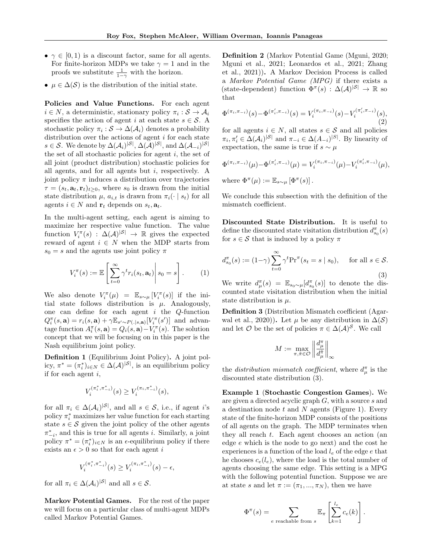- $\gamma \in [0, 1)$  is a discount factor, same for all agents. For finite-horizon MDPs we take  $\gamma = 1$  and in the proofs we substitute  $\frac{1}{1-\gamma}$  with the horizon.
- $\mu \in \Delta(\mathcal{S})$  is the distribution of the initial state.

Policies and Value Functions. For each agent  $i \in N$ , a deterministic, stationary policy  $\pi_i : \mathcal{S} \to \mathcal{A}_i$ specifies the action of agent i at each state  $s \in \mathcal{S}$ . A stochastic policy  $\pi_i : \mathcal{S} \to \Delta(\mathcal{A}_i)$  denotes a probability distribution over the actions of agent  $i$  for each state  $s \in \mathcal{S}$ . We denote by  $\Delta(\mathcal{A}_i)^{|\mathcal{S}|}, \Delta(\mathcal{A})^{|\mathcal{S}|},$  and  $\Delta(\mathcal{A}_{-i})^{|\mathcal{S}|}$ the set of all stochastic policies for agent  $i$ , the set of all joint (product distribution) stochastic policies for all agents, and for all agents but  $i$ , respectively. A joint policy  $\pi$  induces a distribution over trajectories  $\tau = (s_t, \mathbf{a}_t, \mathbf{r}_t)_{t \geq 0}$ , where  $s_0$  is drawn from the initial state distribution  $\mu$ ,  $a_{i,t}$  is drawn from  $\pi_i(\cdot \mid s_t)$  for all agents  $i \in N$  and  $\mathbf{r}_t$  depends on  $s_t, \mathbf{a}_t$ .

In the multi-agent setting, each agent is aiming to maximize her respective value function. The value function  $V_i^{\pi}(s) : \Delta(\mathcal{A})^{|\mathcal{S}|} \to \mathbb{R}$  gives the expected reward of agent  $i \in N$  when the MDP starts from  $s_0 = s$  and the agents use joint policy  $\pi$ 

$$
V_i^{\pi}(s) := \mathbb{E}\left[\left.\sum_{t=0}^{\infty} \gamma^t r_i(s_t, \mathbf{a}_t)\right| s_0 = s\right].
$$
 (1)

We also denote  $V_i^{\pi}(\mu) = \mathbb{E}_{s \sim \mu} [V_i^{\pi}(s)]$  if the initial state follows distribution is  $\mu$ . Analogously, one can define for each agent  $i$  the  $Q$ -function  $Q_i^{\pi}(s, \mathbf{a}) = r_i(s, \mathbf{a}) + \gamma \mathbb{E}_{s' \sim P(.|s, \mathbf{a})}[V_i^{\pi}(s')]$  and advantage function  $A_i^{\pi}(s, \mathbf{a}) = Q_i(s, \mathbf{a}) - V_i^{\pi}(s)$ . The solution concept that we will be focusing on in this paper is the Nash equilibrium joint policy.

Definition 1 (Equilibrium Joint Policy). A joint policy,  $\pi^* = (\pi_i^*)_{i \in N} \in \Delta(\mathcal{A})^{|\mathcal{S}|}$ , is an equilibrium policy if for each agent  $i$ ,

$$
V_i^{(\pi_i^*, \pi_{-i}^*)}(s) \ge V_i^{(\pi_i, \pi_{-i}^*)}(s),
$$

for all  $\pi_i \in \Delta(\mathcal{A}_i)^{|\mathcal{S}|}$ , and all  $s \in \mathcal{S}$ , i.e., if agent *i*'s policy  $\pi_i^*$  maximizes her value function for each starting state  $s \in \mathcal{S}$  given the joint policy of the other agents  $\pi_{-i}^*$ , and this is true for all agents *i*. Similarly, a joint policy  $\pi^* = (\pi_i^*)_{i \in N}$  is an  $\epsilon$ -equilibrium policy if there exists an  $\epsilon > 0$  so that for each agent i

$$
V_i^{(\pi_i^*, \pi_{-i}^*)}(s) \ge V_i^{(\pi_i, \pi_{-i}^*)}(s) - \epsilon,
$$

for all  $\pi_i \in \Delta(\mathcal{A}_i)^{|\mathcal{S}|}$  and all  $s \in \mathcal{S}$ .

Markov Potential Games. For the rest of the paper we will focus on a particular class of multi-agent MDPs called Markov Potential Games.

Definition 2 (Markov Potential Game (Mguni, 2020; Mguni et al., 2021; Leonardos et al., 2021; Zhang et al., 2021)). A Markov Decision Process is called a Markov Potential Game (MPG) if there exists a (state-dependent) function  $\Phi^{\pi}(s) : \Delta(\mathcal{A})^{|\mathcal{S}|} \to \mathbb{R}$  so that

$$
\Phi^{(\pi_i, \pi_{-i})}(s) - \Phi^{(\pi'_i, \pi_{-i})}(s) = V_i^{(\pi_i, \pi_{-i})}(s) - V_i^{(\pi'_i, \pi_{-i})}(s),
$$
\n(2)

for all agents  $i \in N$ , all states  $s \in \mathcal{S}$  and all policies  $\pi_i, \pi'_i \in \Delta(\mathcal{A}_i)^{|\mathcal{S}|}$  and  $\pi_{-i} \in \Delta(A_{-i})^{|\mathcal{S}|}$ . By linearity of expectation, the same is true if  $s \sim \mu$ 

$$
\Phi^{(\pi_i, \pi_{-i})}(\mu) - \Phi^{(\pi'_i, \pi_{-i})}(\mu) = V_i^{(\pi_i, \pi_{-i})}(\mu) - V_i^{(\pi'_i, \pi_{-i})}(\mu),
$$

where  $\Phi^{\pi}(\mu) := \mathbb{E}_{s \sim \mu} [\Phi^{\pi}(s)]$ .

We conclude this subsection with the definition of the mismatch coefficient.

Discounted State Distribution. It is useful to define the discounted state visitation distribution  $d_{s_0}^{\pi}(s)$ for  $s \in \mathcal{S}$  that is induced by a policy  $\pi$ 

$$
d_{s_0}^{\pi}(s) := (1-\gamma) \sum_{t=0}^{\infty} \gamma^t \Pr^{\pi}(s_t = s \mid s_0), \quad \text{ for all } s \in \mathcal{S}.
$$
\n(3)

We write  $d_{\mu}^{\pi}(s) = \mathbb{E}_{s_0 \sim \mu}[d_{s_0}^{\pi}(s)]$  to denote the discounted state visitation distribution when the initial state distribution is  $\mu$ .

Definition 3 (Distribution Mismatch coefficient (Agarwal et al., 2020)). Let  $\mu$  be any distribution in  $\Delta(\mathcal{S})$ and let  $\mathcal O$  be the set of policies  $\pi \in \Delta(\mathcal{A})^{\mathcal{S}}$ . We call

$$
M:=\max_{\pi,\tilde{\pi}\in\mathcal{O}}\left\|\frac{d_\mu^\pi}{d_\mu^{\tilde{\pi}}}\right\|_\infty
$$

the *distribution mismatch coefficient*, where  $d_{\mu}^{\pi}$  is the discounted state distribution (3).

Example 1 (Stochastic Congestion Games). We are given a directed acyclic graph G, with a source s and a destination node  $t$  and  $N$  agents (Figure 1). Every state of the finite-horizon MDP consists of the positions of all agents on the graph. The MDP terminates when they all reach t. Each agent chooses an action (an edge e which is the node to go next) and the cost he experiences is a function of the load  $l_e$  of the edge e that he chooses  $c_e(l_e)$ , where the load is the total number of agents choosing the same edge. This setting is a MPG with the following potential function. Suppose we are at state s and let  $\pi := (\pi_1, ..., \pi_N)$ , then we have

$$
\Phi^{\pi}(s) = \sum_{e \text{ reachable from } s} \mathbb{E}_{\pi} \left[ \sum_{k=1}^{l_e} c_e(k) \right].
$$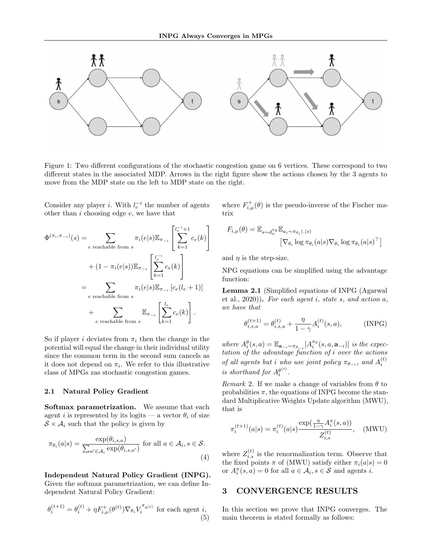

Figure 1: Two different configurations of the stochastic congestion game on 6 vertices. These correspond to two different states in the associated MDP. Arrows in the right figure show the actions chosen by the 3 agents to move from the MDP state on the left to MDP state on the right.

Consider any player *i*. With  $l_e^{-i}$  the number of agents other than  $i$  choosing edge  $e$ , we have that

$$
\Phi^{(\pi_i, \pi_{-i})}(s) = \sum_{e \text{ reachable from } s} \pi_i(e|s) \mathbb{E}_{\pi_{-i}} \left[ \sum_{k=1}^{l_e^{-i}+1} c_e(k) \right]
$$

$$
+ (1 - \pi_i(e|s)) \mathbb{E}_{\pi_{-i}} \left[ \sum_{k=1}^{l_e^{-i}} c_e(k) \right]
$$

$$
= \sum_{e \text{ reachable from } s} \pi_i(e|s) \mathbb{E}_{\pi_{-i}} [c_e(l_e + 1)]
$$

$$
+ \sum_{e \text{ reachable from } s} \mathbb{E}_{\pi_{-i}} \left[ \sum_{k=1}^{l_e} c_e(k) \right].
$$

So if player *i* deviates from  $\pi_i$  then the change in the potential will equal the change in their individual utility since the common term in the second sum cancels as it does not depend on  $\pi_i$ . We refer to this illustrative class of MPGs zas stochastic congestion games.

#### 2.1 Natural Policy Gradient

Softmax parametrization. We assume that each agent i is represented by its logits — a vector  $\theta_i$  of size  $S \times A_i$  such that the policy is given by

$$
\pi_{\theta_i}(a|s) = \frac{\exp(\theta_{i,s,a})}{\sum_{a' \in \mathcal{A}_i} \exp(\theta_{i,s,a'})} \text{ for all } a \in \mathcal{A}_i, s \in \mathcal{S}.
$$
\n(4)

Independent Natural Policy Gradient (INPG). Given the softmax parametrization, we can define Independent Natural Policy Gradient:

$$
\theta_i^{(t+1)} = \theta_i^{(t)} + \eta F_{i,\mu}^+(\theta^{(t)}) \nabla_{\theta_i} V_i^{\pi_{\theta^{(t)}}} \text{ for each agent } i,
$$
\n(5)

where  $F_{i,\mu}^{+}(\theta)$  is the pseudo-inverse of the Fischer matrix

$$
F_{i,\mu}(\theta) = \mathbb{E}_{s \sim d_{\mu}^{\pi_{\theta}}} \mathbb{E}_{a_i \sim \pi_{\theta_i}(.|s)}
$$

$$
\left[\nabla_{\theta_i} \log \pi_{\theta_i}(a|s) \nabla_{\theta_i} \log \pi_{\theta_i}(a|s)^\top\right]
$$

and  $\eta$  is the step-size.

NPG equations can be simplified using the advantage function:

Lemma 2.1 (Simplified equations of INPG (Agarwal et al.,  $2020$ ). For each agent i, state s, and action a, we have that

$$
\theta_{i,s,a}^{(t+1)} = \theta_{i,s,a}^{(t)} + \frac{\eta}{1-\gamma} A_i^{(t)}(s,a),
$$
 (INPG)

where  $A_i^{\theta}(s, a) = \mathbb{E}_{\mathbf{a}_{-i} \sim \pi_{\theta_{-i}}} [A_i^{\pi_{\theta}}(s, a, \mathbf{a}_{-i})]$  is the expectation of the advantage function of i over the actions of all agents but i who use joint policy  $\pi_{\theta_{-i}}$ , and  $A_i^{(t)}$ is shorthand for  $A_i^{\theta^{(t)}}$ .

Remark 2. If we make a change of variables from  $\theta$  to probabilities  $\pi$ , the equations of INPG become the standard Multiplicative Weights Update algorithm (MWU), that is

$$
\pi_i^{(t+1)}(a|s) = \pi_i^{(t)}(a|s) \frac{\exp(\frac{\eta}{1-\gamma} A_i^{\pi}(s,a))}{Z_{i,s}^{(t)}}, \quad (\text{MWU})
$$

where  $Z_{i,s}^{(t)}$  is the renormalization term. Observe that the fixed points  $\pi$  of (MWU) satisfy either  $\pi_i(a|s) = 0$ or  $A_i^{\pi}(s, a) = 0$  for all  $a \in \mathcal{A}_i, s \in \mathcal{S}$  and agents *i*.

## 3 CONVERGENCE RESULTS

In this section we prove that INPG converges. The main theorem is stated formally as follows: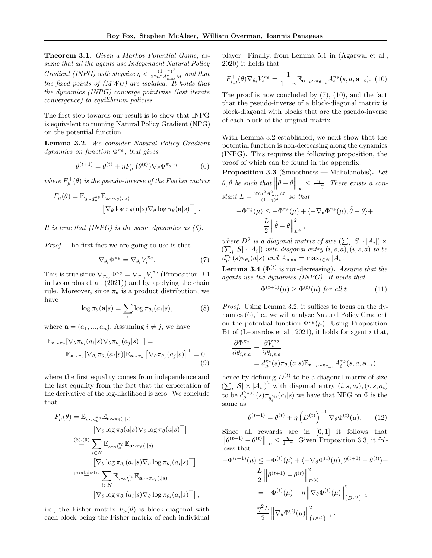Theorem 3.1. Given a Markov Potential Game, assume that all the agents use Independent Natural Policy Gradient (INPG) with stepsize  $\eta < \frac{(1-\gamma)^3}{27n^2A_{\text{max}}^2M}$  and that the fixed points of (MWU) are isolated. It holds that the dynamics (INPG) converge pointwise (last iterate convergence) to equilibrium policies.

The first step towards our result is to show that INPG is equivalent to running Natural Policy Gradient (NPG) on the potential function.

Lemma 3.2. We consider Natural Policy Gradient dynamics on function  $\Phi^{\pi_{\theta}}$ , that gives

$$
\theta^{(t+1)} = \theta^{(t)} + \eta F_{\mu}^{+}(\theta^{(t)}) \nabla_{\theta} \Phi^{\pi_{\theta}(t)} \tag{6}
$$

where  $F^{\dagger}_{\mu}(\theta)$  is the pseudo-inverse of the Fischer matrix

$$
F_{\mu}(\theta) = \mathbb{E}_{s \sim d_{\mu}^{\pi_{\theta}}} \mathbb{E}_{\mathbf{a} \sim \pi_{\theta}(.|s)}
$$

$$
\left[\nabla_{\theta} \log \pi_{\theta}(\mathbf{a}|s) \nabla_{\theta} \log \pi_{\theta}(\mathbf{a}|s)^{\top}\right].
$$

It is true that  $(INPG)$  is the same dynamics as  $(6)$ .

Proof. The first fact we are going to use is that

$$
\nabla_{\theta_i} \Phi^{\pi_{\theta}} = \nabla_{\theta_i} V_i^{\pi_{\theta}}.
$$
 (7)

This is true since  $\nabla_{\pi_{\theta_i}} \Phi^{\pi_{\theta}} = \nabla_{\pi_{\theta_i}} V_i^{\pi_{\theta}}$  (Proposition B.1) in Leonardos et al.  $(2021)$  and by applying the chain rule. Moreover, since  $\pi_{\theta}$  is a product distribution, we have

$$
\log \pi_{\theta}(\mathbf{a}|s) = \sum_{i} \log \pi_{\theta_{i}}(a_{i}|s), \tag{8}
$$

where  $\mathbf{a} = (a_1, ..., a_n)$ . Assuming  $i \neq j$ , we have

$$
\mathbb{E}_{\mathbf{a}\sim\pi_{\theta}}[\nabla_{\theta}\pi_{\theta_{i}}(a_{i}|s)\nabla_{\theta}\pi_{\theta_{j}}(a_{j}|s)^{\top}] =
$$
\n
$$
\mathbb{E}_{\mathbf{a}\sim\pi_{\theta}}[\nabla_{\theta_{i}}\pi_{\theta_{i}}(a_{i}|s)]\mathbb{E}_{\mathbf{a}\sim\pi_{\theta}}[\nabla_{\theta}\pi_{\theta_{j}}(a_{j}|s)]^{\top} = 0,
$$
\n(9)

where the first equality comes from independence and the last equality from the fact that the expectation of the derivative of the log-likelihood is zero. We conclude that

$$
F_{\mu}(\theta) = \mathbb{E}_{s \sim d_{\mu}^{\pi_{\theta}}} \mathbb{E}_{\mathbf{a} \sim \pi_{\theta}(.|s)}
$$
  
\n
$$
\left[\nabla_{\theta} \log \pi_{\theta}(a|s) \nabla_{\theta} \log \pi_{\theta}(a|s)^{\top}\right]
$$
  
\n
$$
\stackrel{(8)..(9)}{=} \sum_{i \in N} \mathbb{E}_{s \sim d_{\mu}^{\pi_{\theta}}} \mathbb{E}_{\mathbf{a} \sim \pi_{\theta}(.|s)}
$$
  
\n
$$
\left[\nabla_{\theta} \log \pi_{\theta_{i}}(a_{i}|s) \nabla_{\theta} \log \pi_{\theta_{i}}(a_{i}|s)^{\top}\right]
$$
  
\n
$$
\text{prod-distr.} \sum_{i \in N} \mathbb{E}_{s \sim d_{\mu}^{\pi_{\theta}}} \mathbb{E}_{\mathbf{a}_{i} \sim \pi_{\theta_{i}}(.|s)}
$$
  
\n
$$
\left[\nabla_{\theta} \log \pi_{\theta_{i}}(a_{i}|s) \nabla_{\theta} \log \pi_{\theta_{i}}(a_{i}|s)^{\top}\right],
$$

i.e., the Fisher matrix  $F_{\mu}(\theta)$  is block-diagonal with each block being the Fisher matrix of each individual

player. Finally, from Lemma 5.1 in (Agarwal et al., 2020) it holds that

$$
F_{i,\mu}^+(\theta)\nabla_{\theta_i}V_i^{\pi_{\theta}} = \frac{1}{1-\gamma}\mathbb{E}_{\mathbf{a}_{-i}\sim\pi_{\theta_{-i}}}A_i^{\pi_{\theta}}(s,a,\mathbf{a}_{-i}).\tag{10}
$$

The proof is now concluded by (7), (10), and the fact that the pseudo-inverse of a block-diagonal matrix is block-diagonal with blocks that are the pseudo-inverse of each block of the original matrix. П

With Lemma 3.2 established, we next show that the potential function is non-decreasing along the dynamics (INPG). This requires the following proposition, the proof of which can be found in the appendix:

**Proposition 3.3** (Smoothness — Mahalanobis). Let  $\theta, \tilde{\theta}$  be such that  $\left\|\theta - \tilde{\theta}\right\|_{\infty} \leq \frac{\eta}{1-\gamma}$ . There exists a constant  $L = \frac{27n^2 A_{\text{max}}^2 M}{(1-\gamma)^3}$  so that  $-\Phi^{\pi_{\hat{\theta}}}(\mu) \leq -\Phi^{\pi_{\theta}}(\mu) + \langle -\nabla_{\theta} \Phi^{\pi_{\theta}}(\mu), \tilde{\theta} - \theta \rangle +$ L 2  $\left\|\tilde{\theta} - \theta\right\|$ 2  $D^{\theta}$ <sup>,</sup>

where  $D^{\theta}$  is a diagonal matrix of size  $(\sum_i |S| \cdot |A_i|) \times$  $\left(\sum_i |S| \cdot |A_i|\right)$  with diagonal entry  $(i, s, a), (i, s, a)$  to be  $d_{\mu}^{\pi_{\theta}}(s)\pi_{\theta_i}(a|s)$  and  $A_{\max} = \max_{i \in N} |A_i|$ .

**Lemma 3.4** ( $\Phi^{(t)}$  is non-decreasing). Assume that the agents use the dynamics (INPG). It holds that

$$
\Phi^{(t+1)}(\mu) \ge \Phi^{(t)}(\mu) \text{ for all } t. \tag{11}
$$

Proof. Using Lemma 3.2, it suffices to focus on the dynamics (6), i.e., we will analyze Natural Policy Gradient on the potential function  $\Phi^{\pi_{\theta}}(\mu)$ . Using Proposition B1 of (Leonardos et al., 2021), it holds for agent  $i$  that,

$$
\begin{aligned} \frac{\partial \Phi^{\pi_{\theta}}}{\partial \theta_{i,s,a}} &= \frac{\partial V^{\pi_{\theta}}_{i}}{\partial \theta_{i,s,a}} \\ &= d^{\pi_{\theta}}_{\mu}(s) \pi_{\theta_{i}}(a|s) \mathbb{E}_{\mathbf{a}_{-i} \sim \pi_{\theta_{-i}}} A^{\pi_{\theta}}_{i}(s,a,\mathbf{a}_{-i}), \end{aligned}
$$

hence by defining  $D^{(t)}$  to be a diagonal matrix of size  $\left(\sum_i |\mathcal{S}| \times |\mathcal{A}_i|\right)^2$  with diagonal entry  $(i, s, a_i), (i, s, a_i)$ to be  $d_{\mu}^{\pi_{\theta}(t)}(s)\pi_{\theta_{i}^{(t)}}(a_{i}|s)$  we have that NPG on  $\Phi$  is the same as

$$
\theta^{(t+1)} = \theta^{(t)} + \eta \left( D^{(t)} \right)^{-1} \nabla_{\theta} \Phi^{(t)}(\mu). \tag{12}
$$

Since all rewards are in  $[0, 1]$  it follows that  $\left\|\theta^{(t+1)} - \theta^{(t)}\right\|_{\infty} \le \frac{\eta}{1-\gamma}$ . Given Proposition 3.3, it follows that

$$
-\Phi^{(t+1)}(\mu) \le -\Phi^{(t)}(\mu) + \langle -\nabla_{\theta}\Phi^{(t)}(\mu), \theta^{(t+1)} - \theta^{(t)} \rangle +
$$
  
\n
$$
\frac{L}{2} ||\theta^{(t+1)} - \theta^{(t)}||_{D^{(t)}}^2
$$
  
\n
$$
= -\Phi^{(t)}(\mu) - \eta ||\nabla_{\theta}\Phi^{(t)}(\mu)||_{(D^{(t)})^{-1}}^2 +
$$
  
\n
$$
\frac{\eta^2 L}{2} ||\nabla_{\theta}\Phi^{(t)}(\mu)||_{(D^{(t)})^{-1}}^2.
$$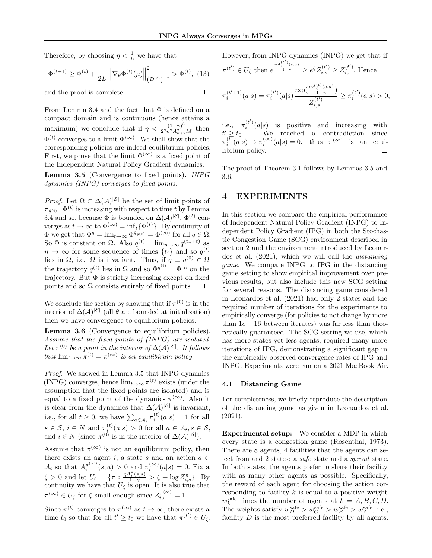$\Box$ 

Therefore, by choosing  $\eta < \frac{1}{L}$  we have that

$$
\Phi^{(t+1)} \ge \Phi^{(t)} + \frac{1}{2L} \left\| \nabla_{\theta} \Phi^{(t)}(\mu) \right\|_{\left(D^{(t)}\right)^{-1}}^2 > \Phi^{(t)}, \tag{13}
$$

and the proof is complete.

From Lemma 3.4 and the fact that  $\Phi$  is defined on a compact domain and is continuous (hence attains a maximum) we conclude that if  $\eta < \frac{(1-\gamma)^3}{27n^2 A_{\text{max}}^2 M}$  then  $\Phi^{(t)}$  converges to a limit  $\Phi^{(\infty)}$ . We shall show that the corresponding policies are indeed equilibrium policies. First, we prove that the limit  $\Phi^{(\infty)}$  is a fixed point of the Independent Natural Policy Gradient dynamics.

Lemma 3.5 (Convergence to fixed points). INPG dynamics (INPG) converges to fixed points.

*Proof.* Let  $\Omega \subset \Delta(\mathcal{A})^{|\mathcal{S}|}$  be the set of limit points of  $\pi_{\theta^{(t)}}$ .  $\Phi^{(t)}$  is increasing with respect to time t by Lemma 3.4 and so, because  $\Phi$  is bounded on  $\Delta(\mathcal{A})^{|\mathcal{S}|}, \Phi^{(t)}$  converges as  $t \to \infty$  to  $\Phi^{(\infty)} = \inf_t {\Phi^{(t)}}$ . By continuity of  $\Phi$  we get that  $\Phi^q = \lim_{t \to \infty} \Phi^{q_{\theta}(t)} = \Phi^{(\infty)}$  for all  $q \in \Omega$ . So  $\Phi$  is constant on  $\Omega$ . Also  $q^{(t)} = \lim_{n \to \infty} q^{(t_n + t)}$  as  $n \to \infty$  for some sequence of times  $\{t_i\}$  and so  $q^{(t)}$ lies in  $\Omega$ , i.e.  $\Omega$  is invariant. Thus, if  $q \equiv q^{(0)} \in \Omega$ the trajectory  $q^{(t)}$  lies in  $\Omega$  and so  $\Phi^{q^{(t)}} = \Phi^{\infty}$  on the trajectory. But  $\Phi$  is strictly increasing except on fixed points and so  $\Omega$  consists entirely of fixed points.  $\Box$ 

We conclude the section by showing that if  $\pi^{(0)}$  is in the interior of  $\Delta(\mathcal{A})^{|\mathcal{S}|}$  (all  $\theta$  are bounded at initialization) then we have convergence to equilibrium policies.

Lemma 3.6 (Convergence to equilibrium policies). Assume that the fixed points of (INPG) are isolated. Let  $\pi^{(0)}$  be a point in the interior of  $\Delta(\mathcal{A})^{|\mathcal{S}|}$ . It follows that  $\lim_{t\to\infty} \pi^{(t)} = \pi^{(\infty)}$  is an equilibirum policy.

Proof. We showed in Lemma 3.5 that INPG dynamics (INPG) converges, hence  $\lim_{t\to\infty} \pi^{(t)}$  exists (under the assumption that the fixed points are isolated) and is equal to a fixed point of the dynamics  $\pi^{(\infty)}$ . Also it is clear from the dynamics that  $\Delta(\mathcal{A})^{|\mathcal{S}|}$  is invariant, i.e., for all  $t \geq 0$ , we have  $\sum_{a \in \mathcal{A}_i} \pi_i^{(t)}(a|s) = 1$  for all  $s \in \mathcal{S}, i \in N$  and  $\pi_{i}^{(t)}(a|s) > 0$  for all  $a \in \mathcal{A}_{i}, s \in \mathcal{S},$ and  $i \in N$  (since  $\pi^{(0)}$  is in the interior of  $\Delta(\mathcal{A})^{|\mathcal{S}|}$ ).

Assume that  $\pi^{(\infty)}$  is not an equilibrium policy, then there exists an agent i, a state s and an action  $a \in$  $\mathcal{A}_i$  so that  $A_i^{\pi^{(\infty)}}(s, a) > 0$  and  $\pi_i^{(\infty)}(a|s) = 0$ . Fix a  $\zeta > 0$  and let  $U_{\zeta} = \{ \pi : \frac{\eta A_i^{\pi}(s, a)}{1 - \gamma} > \zeta + \log Z_{i, s}^{\pi} \}.$  By continuity we have that  $U_{\zeta}$  is open. It is also true that  $\pi^{(\infty)} \in U_{\zeta}$  for  $\zeta$  small enough since  $Z_{i,s}^{\pi^{(\infty)}} = 1$ .

Since  $\pi^{(t)}$  converges to  $\pi^{(\infty)}$  as  $t \to \infty$ , there exists a time  $t_0$  so that for all  $t' \geq t_0$  we have that  $\pi^{(t')} \in U_{\zeta}$ . However, from INPG dynamics (INPG) we get that if

$$
\pi^{(t')} \in U_{\zeta} \text{ then } e^{\frac{\eta A_i^{(t')}(s,a)}{1-\gamma}} \ge e^{\zeta} Z_{i,s}^{(t')} \ge Z_{i,s}^{(t')}.
$$
 Hence  

$$
\pi_i^{(t'+1)}(a|s) = \pi_i^{(t')} (a|s) \frac{\exp(\frac{\eta A_i^{(t)}(s,a)}{1-\gamma})}{Z_{i,s}^{(t')}} \ge \pi_i^{(t')} (a|s) > 0,
$$

i.e.,  $\pi_i^{(t')}(a|s)$  is positive and increasing with i.e.,  $\pi_i$  ( $a|s$ ) is positive and increasing with<br>  $t' \geq t_0$ . We reached a contradiction since  $\pi_i^{(t)}(a|s) \to \pi_i^{(\infty)}(a|s) = 0$ , thus  $\pi^{(\infty)}$  is an equilibrium policy.  $\Box$ 

The proof of Theorem 3.1 follows by Lemmas 3.5 and 3.6.

## 4 EXPERIMENTS

In this section we compare the empirical performance of Independent Natural Policy Gradient (INPG) to Independent Policy Gradient (IPG) in both the Stochastic Congestion Game (SCG) environment described in section 2 and the environment introduced by Leonardos et al. (2021), which we will call the distancing game. We compare INPG to IPG in the distancing game setting to show empirical improvement over previous results, but also include this new SCG setting for several reasons. The distancing game considered in Leonardos et al. (2021) had only 2 states and the required number of iterations for the experiments to empirically converge (for policies to not change by more than  $1e - 16$  between iterates) was far less than theoretically guaranteed. The SCG setting we use, which has more states yet less agents, required many more iterations of IPG, demonstrating a significant gap in the empirically observed convergence rates of IPG and INPG. Experiments were run on a 2021 MacBook Air.

#### 4.1 Distancing Game

For completeness, we briefly reproduce the description of the distancing game as given in Leonardos et al. (2021).

Experimental setup: We consider a MDP in which every state is a congestion game (Rosenthal, 1973). There are 8 agents, 4 facilities that the agents can select from and 2 states: a safe state and a spread state. In both states, the agents prefer to share their facility with as many other agents as possible. Specifically, the reward of each agent for choosing the action corresponding to facility  $k$  is equal to a positive weight  $w_k^{\text{safe}}$  times the number of agents at  $k = A, B, C, D$ . The weights satisfy  $w_D^{\text{safe}} > w_C^{\text{safe}} > w_B^{\text{safe}} > w_A^{\text{safe}}$ , i.e., facility  $D$  is the most preferred facility by all agents.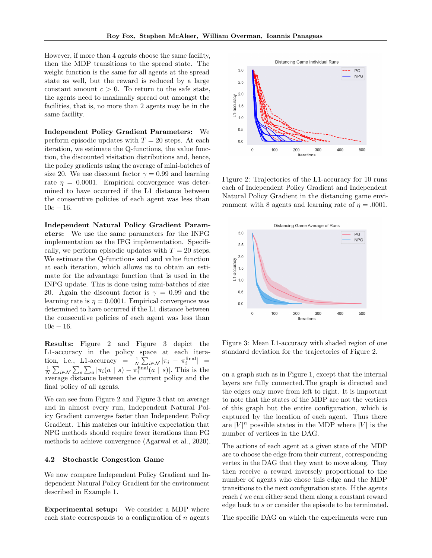However, if more than 4 agents choose the same facility, then the MDP transitions to the spread state. The weight function is the same for all agents at the spread state as well, but the reward is reduced by a large constant amount  $c > 0$ . To return to the safe state, the agents need to maximally spread out amongst the facilities, that is, no more than 2 agents may be in the same facility.

Independent Policy Gradient Parameters: We perform episodic updates with  $T = 20$  steps. At each iteration, we estimate the Q-functions, the value function, the discounted visitation distributions and, hence, the policy gradients using the average of mini-batches of size 20. We use discount factor  $\gamma = 0.99$  and learning rate  $\eta = 0.0001$ . Empirical convergence was determined to have occurred if the L1 distance between the consecutive policies of each agent was less than  $10e - 16$ .

Independent Natural Policy Gradient Parameters: We use the same parameters for the INPG implementation as the IPG implementation. Specifically, we perform episodic updates with  $T = 20$  steps. We estimate the Q-functions and and value function at each iteration, which allows us to obtain an estimate for the advantage function that is used in the INPG update. This is done using mini-batches of size 20. Again the discount factor is  $\gamma = 0.99$  and the learning rate is  $\eta = 0.0001$ . Empirical convergence was determined to have occurred if the L1 distance between the consecutive policies of each agent was less than  $10e - 16$ .

Results: Figure 2 and Figure 3 depict the L1-accuracy in the policy space at each iteration, i.e., L1-accuracy =  $\frac{1}{N} \sum_{i \in \mathcal{N}} |\pi_i - \pi_i^{\text{final}}|$  =  $\frac{1}{N}\sum_{i\in\mathcal{N}}\sum_{s}\sum_{a}|\pi_i(a|s)-\pi_i^{\text{final}}(a|s)|.$  This is the average distance between the current policy and the final policy of all agents.

We can see from Figure 2 and Figure 3 that on average and in almost every run, Independent Natural Policy Gradient converges faster than Independent Policy Gradient. This matches our intuitive expectation that NPG methods should require fewer iterations than PG methods to achieve convergence (Agarwal et al., 2020).

#### 4.2 Stochastic Congestion Game

We now compare Independent Policy Gradient and Independent Natural Policy Gradient for the environment described in Example 1.

Experimental setup: We consider a MDP where each state corresponds to a configuration of  $n$  agents



Figure 2: Trajectories of the L1-accuracy for 10 runs each of Independent Policy Gradient and Independent Natural Policy Gradient in the distancing game environment with 8 agents and learning rate of  $\eta = .0001$ .



Figure 3: Mean L1-accuracy with shaded region of one standard deviation for the trajectories of Figure 2.

on a graph such as in Figure 1, except that the internal layers are fully connected.The graph is directed and the edges only move from left to right. It is important to note that the states of the MDP are not the vertices of this graph but the entire configuration, which is captured by the location of each agent. Thus there are  $|V|^n$  possible states in the MDP where  $|V|$  is the number of vertices in the DAG.

The actions of each agent at a given state of the MDP are to choose the edge from their current, corresponding vertex in the DAG that they want to move along. They then receive a reward inversely proportional to the number of agents who chose this edge and the MDP transitions to the next configuration state. If the agents reach t we can either send them along a constant reward edge back to s or consider the episode to be terminated.

The specific DAG on which the experiments were run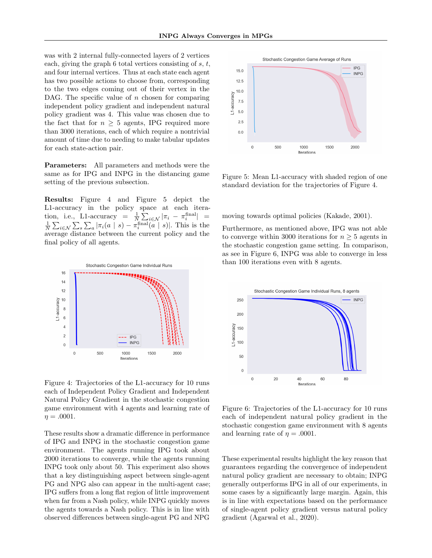was with 2 internal fully-connected layers of 2 vertices each, giving the graph 6 total vertices consisting of  $s, t$ , and four internal vertices. Thus at each state each agent has two possible actions to choose from, corresponding to the two edges coming out of their vertex in the DAG. The specific value of  $n$  chosen for comparing independent policy gradient and independent natural policy gradient was 4. This value was chosen due to the fact that for  $n > 5$  agents, IPG required more than 3000 iterations, each of which require a nontrivial amount of time due to needing to make tabular updates for each state-action pair.

Parameters: All parameters and methods were the same as for IPG and INPG in the distancing game setting of the previous subsection.

Results: Figure 4 and Figure 5 depict the L1-accuracy in the policy space at each iteration, i.e., L1-accuracy =  $\frac{1}{N} \sum_{i \in \mathcal{N}} |\pi_i - \pi_i^{\text{final}}|$  =  $\frac{1}{N}\sum_{i\in\mathcal{N}}\sum_{s}\sum_{a}|\pi_i(a|s)-\pi^{\text{final}}_i(a|s)|.$  This is the average distance between the current policy and the final policy of all agents.



Figure 4: Trajectories of the L1-accuracy for 10 runs each of Independent Policy Gradient and Independent Natural Policy Gradient in the stochastic congestion game environment with 4 agents and learning rate of  $\eta = .0001$ .

These results show a dramatic difference in performance of IPG and INPG in the stochastic congestion game environment. The agents running IPG took about 2000 iterations to converge, while the agents running INPG took only about 50. This experiment also shows that a key distinguishing aspect between single-agent PG and NPG also can appear in the multi-agent case; IPG suffers from a long flat region of little improvement when far from a Nash policy, while INPG quickly moves the agents towards a Nash policy. This is in line with observed differences between single-agent PG and NPG



Figure 5: Mean L1-accuracy with shaded region of one standard deviation for the trajectories of Figure 4.

moving towards optimal policies (Kakade, 2001).

Furthermore, as mentioned above, IPG was not able to converge within 3000 iterations for  $n \geq 5$  agents in the stochastic congestion game setting. In comparison, as see in Figure 6, INPG was able to converge in less than 100 iterations even with 8 agents.



Figure 6: Trajectories of the L1-accuracy for 10 runs each of independent natural policy gradient in the stochastic congestion game environment with 8 agents and learning rate of  $\eta = .0001$ .

These experimental results highlight the key reason that guarantees regarding the convergence of independent natural policy gradient are necessary to obtain; INPG generally outperforms IPG in all of our experiments, in some cases by a significantly large margin. Again, this is in line with expectations based on the performance of single-agent policy gradient versus natural policy gradient (Agarwal et al., 2020).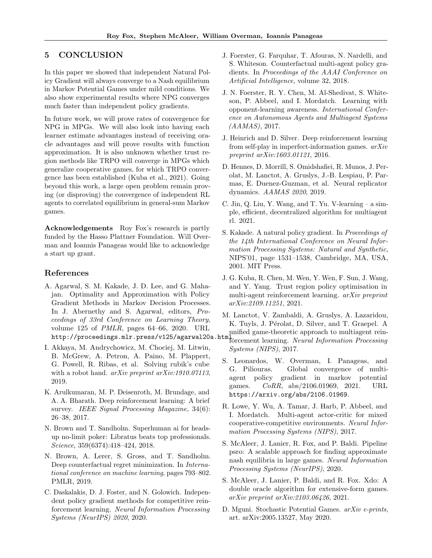# 5 CONCLUSION

In this paper we showed that independent Natural Policy Gradient will always converge to a Nash equilibrium in Markov Potential Games under mild conditions. We also show experimental results where NPG converges much faster than independent policy gradients.

In future work, we will prove rates of convergence for NPG in MPGs. We will also look into having each learner estimate advantages instead of receiving oracle advantages and will prove results with function approximation. It is also unknown whether trust region methods like TRPO will converge in MPGs which generalize cooperative games, for which TRPO convergence has been established (Kuba et al., 2021). Going beyond this work, a large open problem remain proving (or disproving) the convergence of independent RL agents to correlated equilibrium in general-sum Markov games.

Acknowledgements Roy Fox's research is partly funded by the Hasso Plattner Foundation. Will Overman and Ioannis Panageas would like to acknowledge a start up grant.

# References

- A. Agarwal, S. M. Kakade, J. D. Lee, and G. Mahajan. Optimality and Approximation with Policy Gradient Methods in Markov Decision Processes. In J. Abernethy and S. Agarwal, editors, Proceedings of 33rd Conference on Learning Theory, volume 125 of  $PMLR$ , pages 64–66, 2020. URL when the rest of the contract the contract of the contract text of the proceedings.mlr.press/v125/agarwal20a.html.html.html. Nexus Information Proceedings.mlr.press/v125/agarwal20a.html.html.html
- I. Akkaya, M. Andrychowicz, M. Chociej, M. Litwin, B. McGrew, A. Petron, A. Paino, M. Plappert, G. Powell, R. Ribas, et al. Solving rubik's cube with a robot hand. *arXiv preprint arXiv:1910.07113*, 2019.
- K. Arulkumaran, M. P. Deisenroth, M. Brundage, and A. A. Bharath. Deep reinforcement learning: A brief survey. IEEE Signal Processing Magazine, 34(6): 26–38, 2017.
- N. Brown and T. Sandholm. Superhuman ai for headsup no-limit poker: Libratus beats top professionals. Science, 359(6374):418–424, 2018.
- N. Brown, A. Lerer, S. Gross, and T. Sandholm. Deep counterfactual regret minimization. In International conference on machine learning, pages 793–802. PMLR, 2019.
- C. Daskalakis, D. J. Foster, and N. Golowich. Independent policy gradient methods for competitive reinforcement learning. Neural Information Processing Systems (NeurIPS) 2020, 2020.
- J. Foerster, G. Farquhar, T. Afouras, N. Nardelli, and S. Whiteson. Counterfactual multi-agent policy gradients. In Proceedings of the AAAI Conference on Artificial Intelligence, volume 32, 2018.
- J. N. Foerster, R. Y. Chen, M. Al-Shedivat, S. Whiteson, P. Abbeel, and I. Mordatch. Learning with opponent-learning awareness. International Conference on Autonomous Agents and Multiagent Systems (AAMAS), 2017.
- J. Heinrich and D. Silver. Deep reinforcement learning from self-play in imperfect-information games. arXiv preprint arXiv:1603.01121, 2016.
- D. Hennes, D. Morrill, S. Omidshafiei, R. Munos, J. Perolat, M. Lanctot, A. Gruslys, J.-B. Lespiau, P. Parmas, E. Duenez-Guzman, et al. Neural replicator dynamics. AAMAS 2020, 2019.
- C. Jin, Q. Liu, Y. Wang, and T. Yu. V-learning a simple, efficient, decentralized algorithm for multiagent rl. 2021.
- S. Kakade. A natural policy gradient. In Proceedings of the 14th International Conference on Neural Information Processing Systems: Natural and Synthetic, NIPS'01, page 1531–1538, Cambridge, MA, USA, 2001. MIT Press.
- J. G. Kuba, R. Chen, M. Wen, Y. Wen, F. Sun, J. Wang, and Y. Yang. Trust region policy optimisation in multi-agent reinforcement learning. arXiv preprint arXiv:2109.11251, 2021.
- M. Lanctot, V. Zambaldi, A. Gruslys, A. Lazaridou, K. Tuyls, J. Pérolat, D. Silver, and T. Graepel. A
- forcement learning. Neural Information Processing Systems (NIPS), 2017.
- S. Leonardos, W. Overman, I. Panageas, and G. Piliouras. Global convergence of multiagent policy gradient in markov potential games. CoRR, abs/2106.01969, 2021. URL https://arxiv.org/abs/2106.01969.
- R. Lowe, Y. Wu, A. Tamar, J. Harb, P. Abbeel, and I. Mordatch. Multi-agent actor-critic for mixed cooperative-competitive environments. Neural Information Processing Systems (NIPS), 2017.
- S. McAleer, J. Lanier, R. Fox, and P. Baldi. Pipeline psro: A scalable approach for finding approximate nash equilibria in large games. Neural Information Processing Systems (NeurIPS), 2020.
- S. McAleer, J. Lanier, P. Baldi, and R. Fox. Xdo: A double oracle algorithm for extensive-form games. arXiv preprint arXiv:2103.06426, 2021.
- D. Mguni. Stochastic Potential Games. arXiv e-prints, art. arXiv:2005.13527, May 2020.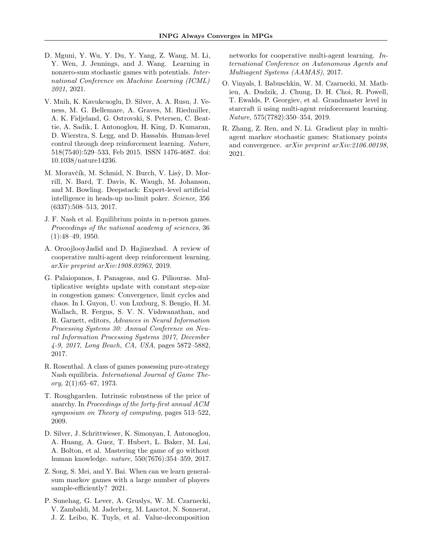- D. Mguni, Y. Wu, Y. Du, Y. Yang, Z. Wang, M. Li, Y. Wen, J. Jennings, and J. Wang. Learning in nonzero-sum stochastic games with potentials. International Conference on Machine Learning (ICML) 2021, 2021.
- V. Mnih, K. Kavukcuoglu, D. Silver, A. A. Rusu, J. Veness, M. G. Bellemare, A. Graves, M. Riedmiller, A. K. Fidjeland, G. Ostrovski, S. Petersen, C. Beattie, A. Sadik, I. Antonoglou, H. King, D. Kumaran, D. Wierstra, S. Legg, and D. Hassabis. Human-level control through deep reinforcement learning. Nature, 518(7540):529–533, Feb 2015. ISSN 1476-4687. doi: 10.1038/nature14236.
- M. Moravčík, M. Schmid, N. Burch, V. Lisỳ, D. Morrill, N. Bard, T. Davis, K. Waugh, M. Johanson, and M. Bowling. Deepstack: Expert-level artificial intelligence in heads-up no-limit poker. Science, 356 (6337):508–513, 2017.
- J. F. Nash et al. Equilibrium points in n-person games. Proceedings of the national academy of sciences, 36 (1):48–49, 1950.
- A. OroojlooyJadid and D. Hajinezhad. A review of cooperative multi-agent deep reinforcement learning. arXiv preprint arXiv:1908.03963, 2019.
- G. Palaiopanos, I. Panageas, and G. Piliouras. Multiplicative weights update with constant step-size in congestion games: Convergence, limit cycles and chaos. In I. Guyon, U. von Luxburg, S. Bengio, H. M. Wallach, R. Fergus, S. V. N. Vishwanathan, and R. Garnett, editors, Advances in Neural Information Processing Systems 30: Annual Conference on Neural Information Processing Systems 2017, December 4-9, 2017, Long Beach, CA, USA, pages 5872–5882, 2017.
- R. Rosenthal. A class of games possessing pure-strategy Nash equilibria. International Journal of Game Theory, 2(1):65–67, 1973.
- T. Roughgarden. Intrinsic robustness of the price of anarchy. In Proceedings of the forty-first annual ACM symposium on Theory of computing, pages 513–522, 2009.
- D. Silver, J. Schrittwieser, K. Simonyan, I. Antonoglou, A. Huang, A. Guez, T. Hubert, L. Baker, M. Lai, A. Bolton, et al. Mastering the game of go without human knowledge. nature, 550(7676):354–359, 2017.
- Z. Song, S. Mei, and Y. Bai. When can we learn generalsum markov games with a large number of players sample-efficiently? 2021.
- P. Sunehag, G. Lever, A. Gruslys, W. M. Czarnecki, V. Zambaldi, M. Jaderberg, M. Lanctot, N. Sonnerat, J. Z. Leibo, K. Tuyls, et al. Value-decomposition

networks for cooperative multi-agent learning. International Conference on Autonomous Agents and Multiagent Systems (AAMAS), 2017.

- O. Vinyals, I. Babuschkin, W. M. Czarnecki, M. Mathieu, A. Dudzik, J. Chung, D. H. Choi, R. Powell, T. Ewalds, P. Georgiev, et al. Grandmaster level in starcraft ii using multi-agent reinforcement learning. Nature, 575(7782):350–354, 2019.
- R. Zhang, Z. Ren, and N. Li. Gradient play in multiagent markov stochastic games: Stationary points and convergence. arXiv preprint arXiv:2106.00198, 2021.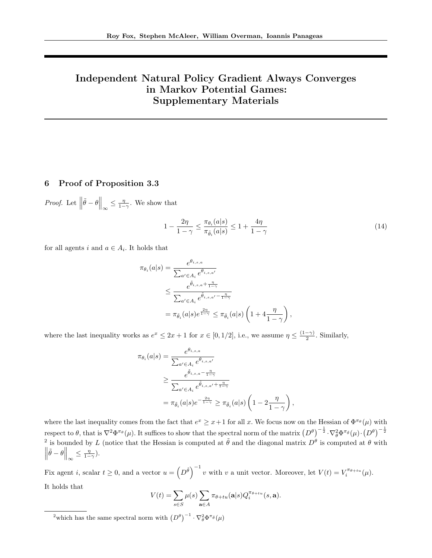# Independent Natural Policy Gradient Always Converges in Markov Potential Games: Supplementary Materials

# 6 Proof of Proposition 3.3

*Proof.* Let  $\left\|\tilde{\theta} - \theta\right\|_{\infty} \le \frac{\eta}{1-\gamma}$ . We show that

$$
1 - \frac{2\eta}{1 - \gamma} \le \frac{\pi_{\theta_i}(a|s)}{\pi_{\tilde{\theta}_i}(a|s)} \le 1 + \frac{4\eta}{1 - \gamma}
$$
\n(14)

,

for all agents i and  $a \in A_i$ . It holds that

$$
\pi_{\theta_i}(a|s) = \frac{e^{\theta_{i,s,a}}}{\sum_{a' \in A_i} e^{\theta_{i,s,a'}}}
$$
  

$$
\leq \frac{e^{\tilde{\theta}_{i,s,a} + \frac{\eta}{1-\gamma}}}{\sum_{a' \in A_i} e^{\tilde{\theta}_{i,s,a'} - \frac{\eta}{1-\gamma}}}
$$
  

$$
= \pi_{\tilde{\theta}_i}(a|s)e^{\frac{2\eta}{1-\gamma}} \leq \pi_{\tilde{\theta}_i}(a|s)\left(1 + 4\frac{\eta}{1-\gamma}\right),
$$

where the last inequality works as  $e^x \leq 2x + 1$  for  $x \in [0, 1/2]$ , i.e., we assume  $\eta \leq \frac{(1-\gamma)}{2}$  $\frac{-\gamma}{2}$ . Similarly,

$$
\pi_{\theta_i}(a|s) = \frac{e^{\theta_{i,s,a}}}{\sum_{a' \in A_i} e^{\theta_{i,s,a'}}}
$$

$$
\geq \frac{e^{\tilde{\theta}_{i,s,a} - \frac{\eta}{1-\gamma}}}{\sum_{a' \in A_i} e^{\tilde{\theta}_{i,s,a'} + \frac{\eta}{1-\gamma}}}
$$

$$
= \pi_{\tilde{\theta}_i}(a|s)e^{-\frac{2\eta}{1-\gamma}} \geq \pi_{\tilde{\theta}_i}(a|s)\left(1 - 2\frac{\eta}{1-\gamma}\right)
$$

where the last inequality comes from the fact that  $e^x \geq x+1$  for all x. We focus now on the Hessian of  $\Phi^{\pi_\theta}(\mu)$  with respect to  $\theta$ , that is  $\nabla^2 \Phi^{\pi_\theta}(\mu)$ . It suffices to show that the spectral norm of the matrix  $(D^\theta)^{-\frac{1}{2}} \cdot \nabla_\theta^2 \Phi^{\pi_\theta}(\mu) \cdot (D^\theta)^{-\frac{1}{2}}$ <sup>2</sup> is bounded by L (notice that the Hessian is computed at  $\tilde{\theta}$  and the diagonal matrix  $D^{\theta}$  is computed at  $\theta$  with  $\left\|\tilde{\theta} - \theta\right\|_{\infty} \leq \frac{\eta}{1-\gamma}.$ 

Fix agent *i*, scalar  $t \geq 0$ , and a vector  $u = (\overline{D}^{\tilde{\theta}})^{-1} v$  with *v* a unit vector. Moreover, let  $V(t) = V_i^{\pi_{\theta + tu}}(\mu)$ . It holds that

$$
V(t) = \sum_{s \in S} \mu(s) \sum_{\mathbf{a} \in A} \pi_{\theta + tu}(\mathbf{a}|s) Q_i^{\pi_{\theta + tu}}(s, \mathbf{a}).
$$

<sup>2</sup>which has the same spectral norm with  $(D^{\theta})^{-1} \cdot \nabla_{\theta}^2 \Phi^{\pi_{\theta}}(\mu)$